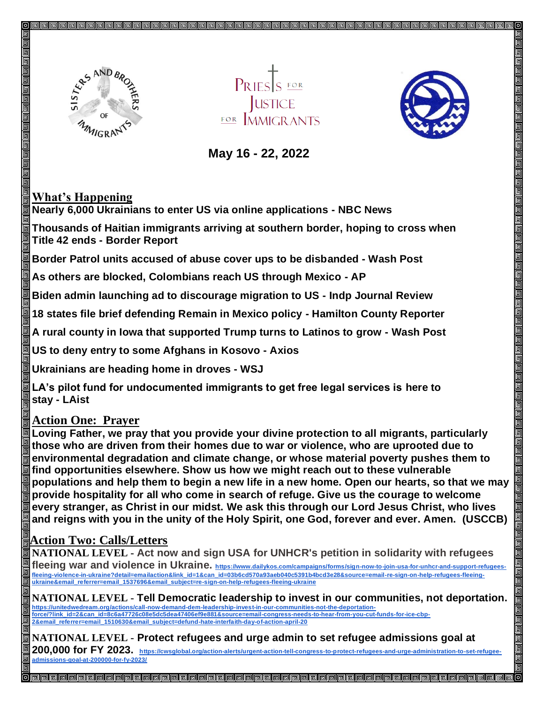

**JUSTICE FOR MMIGRANTS** 



 **May 16 - 22, 2022** 

## **What's Happening**

**Nearly 6,000 Ukrainians to enter US via online applications - NBC News**

**Thousands of Haitian immigrants arriving at southern border, hoping to cross when Title 42 ends - Border Report**

**Border Patrol units accused of abuse cover ups to be disbanded - Wash Post**

**As others are blocked, Colombians reach US through Mexico - AP**

**Biden admin launching ad to discourage migration to US - Indp Journal Review**

**18 states file brief defending Remain in Mexico policy - Hamilton County Reporter**

**A rural county in Iowa that supported Trump turns to Latinos to grow - Wash Post**

**US to deny entry to some Afghans in Kosovo - Axios**

**Ukrainians are heading home in droves - WSJ**

**LA's pilot fund for undocumented immigrants to get free legal services is here to stay - LAist**

## **Action One: Prayer**

**Loving Father, we pray that you provide your divine protection to all migrants, particularly those who are driven from their homes due to war or violence, who are uprooted due to environmental degradation and climate change, or whose material poverty pushes them to find opportunities elsewhere. Show us how we might reach out to these vulnerable populations and help them to begin a new life in a new home. Open our hearts, so that we may provide hospitality for all who come in search of refuge. Give us the courage to welcome every stranger, as Christ in our midst. We ask this through our Lord Jesus Christ, who lives and reigns with you in the unity of the Holy Spirit, one God, forever and ever. Amen. (USCCB)**

## **Action Two: Calls/Letters**

**NATIONAL LEVEL - Act now and sign USA for UNHCR's petition in solidarity with refugees**  fleeing war and violence in Ukraine. https://www.dailykos.com/campaigns/forms/sign-now-to-join-usa-for-unhcr-and-support-refugees-<u>fleeing-violence-in-ukraine?detail=emailaction&link\_id=1&can\_id=03b6cd570a93aeb040c5391b4bcd3e28&source=email-re-sign-on-help-refugees-fleeing-</u><br>ukraine&email\_referrer=email\_1537696&email\_subject=re-sign-on-help-refugees-

**NATIONAL LEVEL - Tell Democratic leadership to invest in our communities, not deportation.** <u>https://unitedwedream.org/actions/call-now-demand-dem-leadership-invest-in-our-communities-not-the-deportation-</u><br>force/?link\_id=2&can\_id=8c6a47726c08e5dc5dea47406ef9e881&source=email-congress-needs-to-hear-from-you-cut-fu **2&email\_referrer=email\_1510630&email\_subject=defund-hate-interfaith-day-of-action-april-20**

**NATIONAL LEVEL - Protect refugees and urge admin to set refugee admissions goal at 200,000 for FY 2023. https://cwsglobal.org/action-alerts/urgent-action-tell-congress-to-protect-refugees-and-urge-administration-to-set-refugeeadmissions-goal-at-200000-for-fy-2023/**